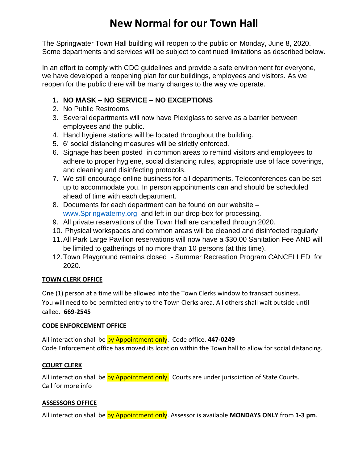# **New Normal for our Town Hall**

The Springwater Town Hall building will reopen to the public on Monday, June 8, 2020. Some departments and services will be subject to continued limitations as described below.

In an effort to comply with CDC guidelines and provide a safe environment for everyone, we have developed a reopening plan for our buildings, employees and visitors. As we reopen for the public there will be many changes to the way we operate.

## **1. NO MASK – NO SERVICE – NO EXCEPTIONS**

- 2. No Public Restrooms
- 3. Several departments will now have Plexiglass to serve as a barrier between employees and the public.
- 4. Hand hygiene stations will be located throughout the building.
- 5. 6' social distancing measures will be strictly enforced.
- 6. Signage has been posted in common areas to remind visitors and employees to adhere to proper hygiene, social distancing rules, appropriate use of face coverings, and cleaning and disinfecting protocols.
- 7. We still encourage online business for all departments. Teleconferences can be set up to accommodate you. In person appointments can and should be scheduled ahead of time with each department.
- 8. Documents for each department can be found on our website [www.Springwaterny.org](http://www.springwaterny.org/) and left in our drop-box for processing.
- 9. All private reservations of the Town Hall are cancelled through 2020.
- 10. Physical workspaces and common areas will be cleaned and disinfected regularly
- 11.All Park Large Pavilion reservations will now have a \$30.00 Sanitation Fee AND will be limited to gatherings of no more than 10 persons (at this time).
- 12.Town Playground remains closed Summer Recreation Program CANCELLED for 2020.

#### **TOWN CLERK OFFICE**

One (1) person at a time will be allowed into the Town Clerks window to transact business. You will need to be permitted entry to the Town Clerks area. All others shall wait outside until called. **669-2545**

#### **CODE ENFORCEMENT OFFICE**

All interaction shall be by Appointment only. Code office. **447-0249** Code Enforcement office has moved its location within the Town hall to allow for social distancing.

#### **COURT CLERK**

All interaction shall be by Appointment only. Courts are under jurisdiction of State Courts. Call for more info

#### **ASSESSORS OFFICE**

All interaction shall be by Appointment only. Assessor is available **MONDAYS ONLY** from **1-3 pm**.